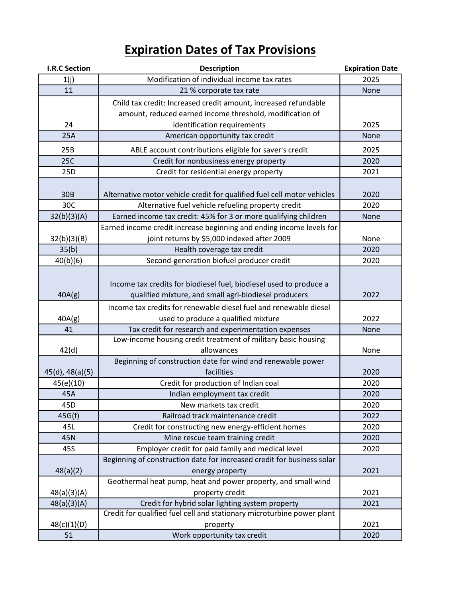| <b>I.R.C Section</b> | <b>Description</b>                                                      | <b>Expiration Date</b> |
|----------------------|-------------------------------------------------------------------------|------------------------|
| 1(j)                 | Modification of individual income tax rates                             | 2025                   |
| 11                   | 21 % corporate tax rate                                                 | None                   |
|                      | Child tax credit: Increased credit amount, increased refundable         |                        |
|                      | amount, reduced earned income threshold, modification of                |                        |
| 24                   | identification requirements                                             | 2025                   |
| 25A                  | American opportunity tax credit                                         | None                   |
| 25B                  | ABLE account contributions eligible for saver's credit                  | 2025                   |
| 25C                  | Credit for nonbusiness energy property                                  | 2020                   |
| 25D                  | Credit for residential energy property                                  | 2021                   |
|                      |                                                                         |                        |
| 30 <sub>B</sub>      | Alternative motor vehicle credit for qualified fuel cell motor vehicles | 2020                   |
| 30C                  | Alternative fuel vehicle refueling property credit                      | 2020                   |
| 32(b)(3)(A)          | Earned income tax credit: 45% for 3 or more qualifying children         | None                   |
|                      | Earned income credit increase beginning and ending income levels for    |                        |
| 32(b)(3)(B)          | joint returns by \$5,000 indexed after 2009                             | None                   |
| 35(b)                | Health coverage tax credit                                              | 2020                   |
| 40(b)(6)             | Second-generation biofuel producer credit                               | 2020                   |
|                      |                                                                         |                        |
|                      | Income tax credits for biodiesel fuel, biodiesel used to produce a      |                        |
| 40A(g)               | qualified mixture, and small agri-biodiesel producers                   | 2022                   |
|                      | Income tax credits for renewable diesel fuel and renewable diesel       |                        |
| 40A(g)               | used to produce a qualified mixture                                     | 2022                   |
| 41                   | Tax credit for research and experimentation expenses                    | None                   |
|                      | Low-income housing credit treatment of military basic housing           |                        |
| 42(d)                | allowances                                                              | None                   |
|                      | Beginning of construction date for wind and renewable power             |                        |
| 45(d), 48(a)(5)      | facilities                                                              | 2020                   |
| 45(e)(10)            | Credit for production of Indian coal                                    | 2020                   |
| 45A                  | Indian employment tax credit                                            | 2020                   |
| 45D                  | New markets tax credit                                                  | 2020                   |
| 45G(f)               | Railroad track maintenance credit                                       | 2022                   |
| 45L                  | Credit for constructing new energy-efficient homes                      | 2020                   |
| 45N                  | Mine rescue team training credit                                        | 2020                   |
| 45S                  | Employer credit for paid family and medical level                       | 2020                   |
|                      | Beginning of construction date for increased credit for business solar  |                        |
| 48(a)(2)             | energy property                                                         | 2021                   |
|                      | Geothermal heat pump, heat and power property, and small wind           |                        |
| 48(a)(3)(A)          | property credit                                                         | 2021                   |
| 48(a)(3)(A)          | Credit for hybrid solar lighting system property                        | 2021                   |
|                      | Credit for qualified fuel cell and stationary microturbine power plant  | 2021                   |
| 48(c)(1)(D)          | property                                                                |                        |
| 51                   | Work opportunity tax credit                                             | 2020                   |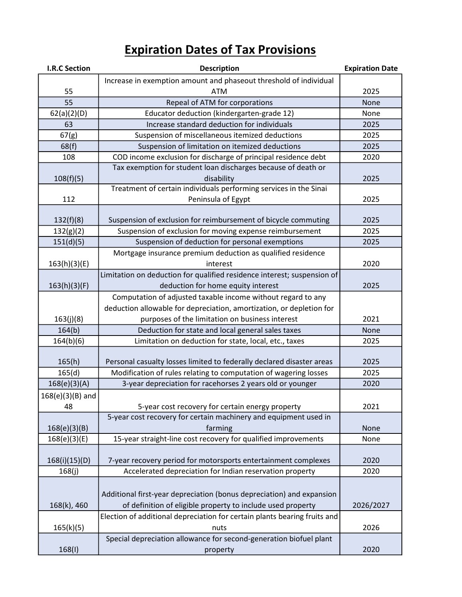| <b>I.R.C Section</b> | <b>Description</b>                                                        | <b>Expiration Date</b> |
|----------------------|---------------------------------------------------------------------------|------------------------|
|                      | Increase in exemption amount and phaseout threshold of individual         |                        |
| 55                   | <b>ATM</b>                                                                | 2025                   |
| 55                   | Repeal of ATM for corporations                                            | None                   |
| 62(a)(2)(D)          | Educator deduction (kindergarten-grade 12)                                | None                   |
| 63                   | Increase standard deduction for individuals                               | 2025                   |
| 67(g)                | Suspension of miscellaneous itemized deductions                           | 2025                   |
| 68(f)                | Suspension of limitation on itemized deductions                           | 2025                   |
| 108                  | COD income exclusion for discharge of principal residence debt            | 2020                   |
|                      | Tax exemption for student loan discharges because of death or             |                        |
| 108(f)(5)            | disability                                                                | 2025                   |
|                      | Treatment of certain individuals performing services in the Sinai         |                        |
| 112                  | Peninsula of Egypt                                                        | 2025                   |
|                      |                                                                           |                        |
| 132(f)(8)            | Suspension of exclusion for reimbursement of bicycle commuting            | 2025                   |
| 132(g)(2)            | Suspension of exclusion for moving expense reimbursement                  | 2025                   |
| 151(d)(5)            | Suspension of deduction for personal exemptions                           | 2025                   |
|                      | Mortgage insurance premium deduction as qualified residence               |                        |
| 163(h)(3)(E)         | interest                                                                  | 2020                   |
|                      | Limitation on deduction for qualified residence interest; suspension of   |                        |
| 163(h)(3)(F)         | deduction for home equity interest                                        | 2025                   |
|                      | Computation of adjusted taxable income without regard to any              |                        |
|                      | deduction allowable for depreciation, amortization, or depletion for      |                        |
| 163(j)(8)            | purposes of the limitation on business interest                           | 2021                   |
| 164(b)               | Deduction for state and local general sales taxes                         | None                   |
| 164(b)(6)            | Limitation on deduction for state, local, etc., taxes                     | 2025                   |
| 165(h)               | Personal casualty losses limited to federally declared disaster areas     | 2025                   |
| 165(d)               | Modification of rules relating to computation of wagering losses          | 2025                   |
|                      | 3-year depreciation for racehorses 2 years old or younger                 | 2020                   |
| 168(e)(3)(A)         |                                                                           |                        |
| $168(e)(3)(B)$ and   |                                                                           |                        |
| 48                   | 5-year cost recovery for certain energy property                          | 2021                   |
|                      | 5-year cost recovery for certain machinery and equipment used in          |                        |
| 168(e)(3)(B)         | farming                                                                   | None                   |
| 168(e)(3)(E)         | 15-year straight-line cost recovery for qualified improvements            | None                   |
| 168(i)(15)(D)        | 7-year recovery period for motorsports entertainment complexes            | 2020                   |
| 168(j)               | Accelerated depreciation for Indian reservation property                  | 2020                   |
|                      |                                                                           |                        |
|                      | Additional first-year depreciation (bonus depreciation) and expansion     |                        |
| 168(k), 460          | of definition of eligible property to include used property               | 2026/2027              |
|                      | Election of additional depreciation for certain plants bearing fruits and |                        |
| 165(k)(5)            | nuts                                                                      | 2026                   |
|                      | Special depreciation allowance for second-generation biofuel plant        |                        |
| 168(1)               |                                                                           | 2020                   |
|                      | property                                                                  |                        |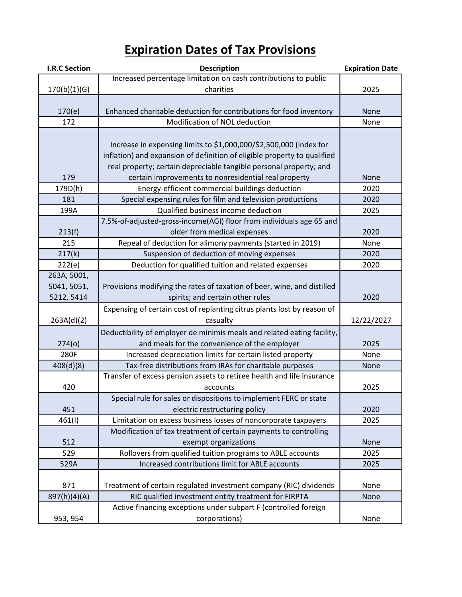| <b>I.R.C Section</b> | <b>Description</b>                                                       | <b>Expiration Date</b> |
|----------------------|--------------------------------------------------------------------------|------------------------|
|                      | Increased percentage limitation on cash contributions to public          |                        |
| 170(b)(1)(G)         | charities                                                                | 2025                   |
|                      |                                                                          |                        |
| 170(e)               | Enhanced charitable deduction for contributions for food inventory       | None                   |
| 172                  | Modification of NOL deduction                                            | None                   |
|                      |                                                                          |                        |
|                      | Increase in expensing limits to \$1,000,000/\$2,500,000 (index for       |                        |
|                      | inflation) and expansion of definition of eligible property to qualified |                        |
|                      | real property; certain depreciable tangible personal property; and       |                        |
| 179                  | certain improvements to nonresidential real property                     | None                   |
| 179D(h)              | Energy-efficient commercial buildings deduction                          | 2020                   |
| 181                  | Special expensing rules for film and television productions              | 2020                   |
| 199A                 | Qualified business income deduction                                      | 2025                   |
|                      | 7.5%-of-adjusted-gross-income(AGI) floor from individuals age 65 and     |                        |
| 213(f)               | older from medical expenses                                              | 2020                   |
| 215                  | Repeal of deduction for alimony payments (started in 2019)               | None                   |
| 217(k)               | Suspension of deduction of moving expenses                               | 2020                   |
| 222(e)               | Deduction for qualified tuition and related expenses                     | 2020                   |
| 263A, 5001,          |                                                                          |                        |
| 5041, 5051,          | Provisions modifying the rates of taxation of beer, wine, and distilled  |                        |
| 5212, 5414           | spirits; and certain other rules                                         | 2020                   |
|                      | Expensing of certain cost of replanting citrus plants lost by reason of  |                        |
| 263A(d)(2)           | casualty                                                                 | 12/22/2027             |
|                      | Deductibility of employer de minimis meals and related eating facility,  |                        |
| 274(0)               | and meals for the convenience of the employer                            | 2025                   |
| 280F                 | Increased depreciation limits for certain listed property                | None                   |
| 408(d)(8)            | Tax-free distributions from IRAs for charitable purposes                 | None                   |
|                      | Transfer of excess pension assets to retiree health and life insurance   |                        |
| 420                  | accounts                                                                 | 2025                   |
|                      | Special rule for sales or dispositions to implement FERC or state        |                        |
| 451                  | electric restructuring policy                                            | 2020                   |
| 461(I)               | Limitation on excess business losses of noncorporate taxpayers           | 2025                   |
|                      | Modification of tax treatment of certain payments to controlling         |                        |
| 512                  | exempt organizations                                                     | None                   |
| 529                  | Rollovers from qualified tuition programs to ABLE accounts               | 2025                   |
| 529A                 | Increased contributions limit for ABLE accounts                          | 2025                   |
|                      |                                                                          |                        |
| 871                  | Treatment of certain regulated investment company (RIC) dividends        | None                   |
| 897(h)(4)(A)         | RIC qualified investment entity treatment for FIRPTA                     | None                   |
|                      | Active financing exceptions under subpart F (controlled foreign          |                        |
| 953, 954             | corporations)                                                            | None                   |